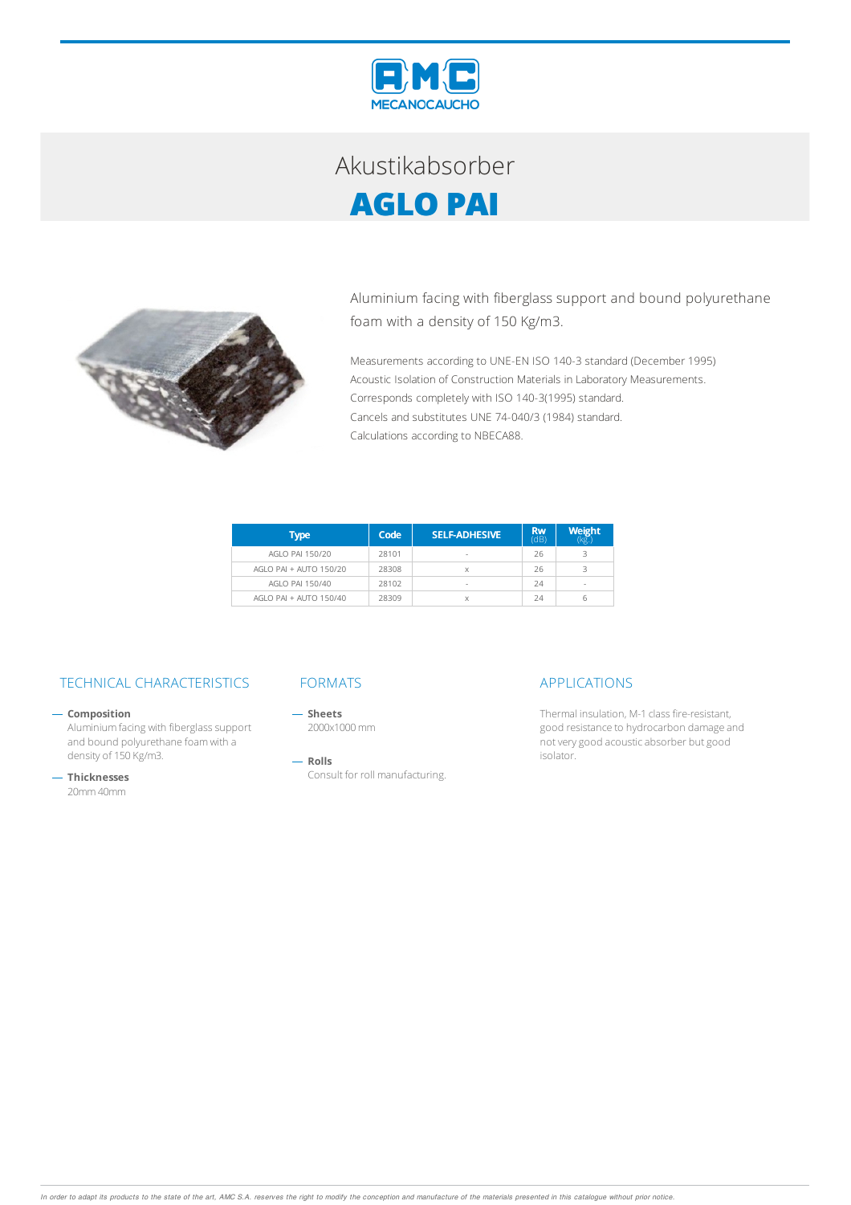

## Akustikabsorber **AGLO PAI**



Aluminium facing with fiberglass support and bound polyurethane foam with a density of 150 Kg/m3.

Measurements according to UNE-EN ISO 140-3 standard (December 1995) Acoustic Isolation of Construction Materials in Laboratory Measurements. Corresponds completely with ISO 140-3(1995) standard. Cancels and substitutes UNE 74-040/3 (1984) standard. Calculations according to NBECA88.

| Type                   | Code  | <b>SELF-ADHESIVE</b> | <b>Rw</b><br>(dB) | <b>Weight</b> |
|------------------------|-------|----------------------|-------------------|---------------|
| AGLO PAI 150/20        | 28101 | $\sim$               | 26                |               |
| AGLO PAL + AUTO 150/20 | 28308 |                      | 26                | R             |
| AGLO PAI 150/40        | 28102 | $\sim$               | 24                | <b>COL</b>    |
| AGLO PAI + AUTO 150/40 | 28309 | X                    | 24                | 6             |

## TECHNICAL CHARACTERISTICS FORMATS APPLICATIONS

 $-$  Composition

Aluminium facing with fiberglass support and bound polyurethane foamwith a density of 150 Kg/m3.

**Thicknesses** 20mm40mm

 $-$  Sheets 2000x1000mm

 $-$  Rolls Consult for roll manufacturing.

Thermal insulation, M-1 class fire-resistant, good resistance to hydrocarbon damage and not very good acoustic absorber but good isolator.